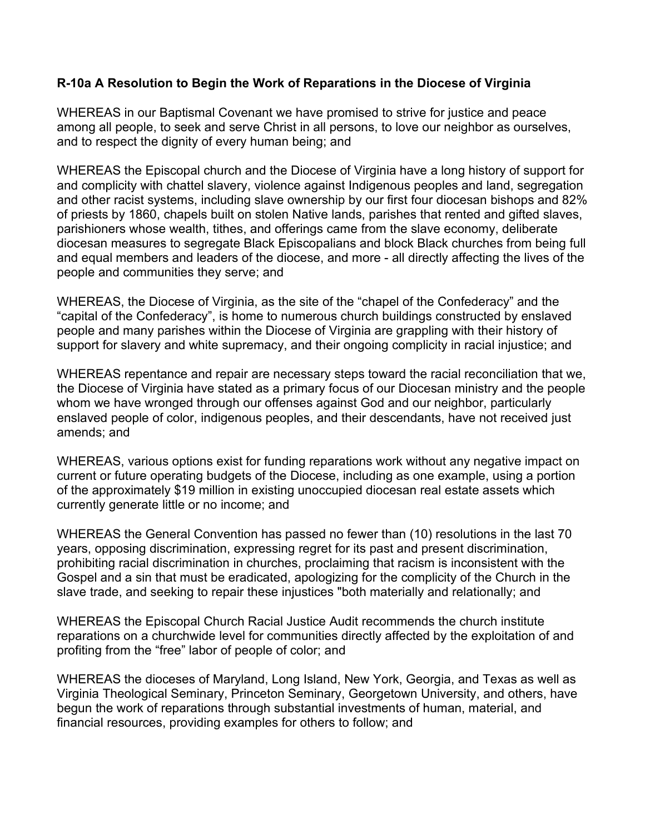## **R-10a A Resolution to Begin the Work of Reparations in the Diocese of Virginia**

WHEREAS in our Baptismal Covenant we have promised to strive for justice and peace among all people, to seek and serve Christ in all persons, to love our neighbor as ourselves, and to respect the dignity of every human being; and

WHEREAS the Episcopal church and the Diocese of Virginia have a long history of support for and complicity with chattel slavery, violence against Indigenous peoples and land, segregation and other racist systems, including slave ownership by our first four diocesan bishops and 82% of priests by 1860, chapels built on stolen Native lands, parishes that rented and gifted slaves, parishioners whose wealth, tithes, and offerings came from the slave economy, deliberate diocesan measures to segregate Black Episcopalians and block Black churches from being full and equal members and leaders of the diocese, and more - all directly affecting the lives of the people and communities they serve; and

WHEREAS, the Diocese of Virginia, as the site of the "chapel of the Confederacy" and the "capital of the Confederacy", is home to numerous church buildings constructed by enslaved people and many parishes within the Diocese of Virginia are grappling with their history of support for slavery and white supremacy, and their ongoing complicity in racial injustice; and

WHEREAS repentance and repair are necessary steps toward the racial reconciliation that we, the Diocese of Virginia have stated as a primary focus of our Diocesan ministry and the people whom we have wronged through our offenses against God and our neighbor, particularly enslaved people of color, indigenous peoples, and their descendants, have not received just amends; and

WHEREAS, various options exist for funding reparations work without any negative impact on current or future operating budgets of the Diocese, including as one example, using a portion of the approximately \$19 million in existing unoccupied diocesan real estate assets which currently generate little or no income; and

WHEREAS the General Convention has passed no fewer than (10) resolutions in the last 70 years, opposing discrimination, expressing regret for its past and present discrimination, prohibiting racial discrimination in churches, proclaiming that racism is inconsistent with the Gospel and a sin that must be eradicated, apologizing for the complicity of the Church in the slave trade, and seeking to repair these injustices "both materially and relationally; and

WHEREAS the Episcopal Church Racial Justice Audit recommends the church institute reparations on a churchwide level for communities directly affected by the exploitation of and profiting from the "free" labor of people of color; and

WHEREAS the dioceses of Maryland, Long Island, New York, Georgia, and Texas as well as Virginia Theological Seminary, Princeton Seminary, Georgetown University, and others, have begun the work of reparations through substantial investments of human, material, and financial resources, providing examples for others to follow; and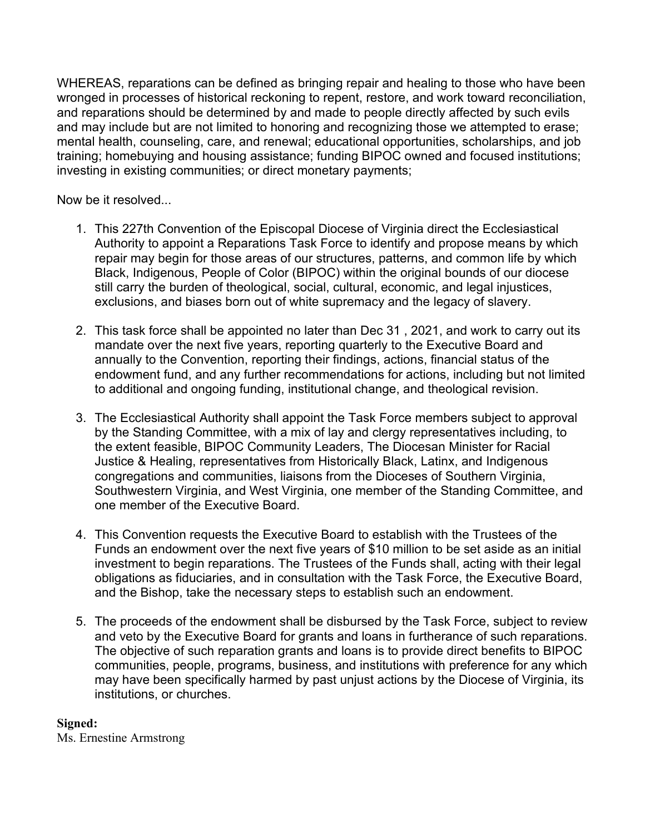WHEREAS, reparations can be defined as bringing repair and healing to those who have been wronged in processes of historical reckoning to repent, restore, and work toward reconciliation, and reparations should be determined by and made to people directly affected by such evils and may include but are not limited to honoring and recognizing those we attempted to erase; mental health, counseling, care, and renewal; educational opportunities, scholarships, and job training; homebuying and housing assistance; funding BIPOC owned and focused institutions; investing in existing communities; or direct monetary payments;

Now be it resolved...

- 1. This 227th Convention of the Episcopal Diocese of Virginia direct the Ecclesiastical Authority to appoint a Reparations Task Force to identify and propose means by which repair may begin for those areas of our structures, patterns, and common life by which Black, Indigenous, People of Color (BIPOC) within the original bounds of our diocese still carry the burden of theological, social, cultural, economic, and legal injustices, exclusions, and biases born out of white supremacy and the legacy of slavery.
- 2. This task force shall be appointed no later than Dec 31 , 2021, and work to carry out its mandate over the next five years, reporting quarterly to the Executive Board and annually to the Convention, reporting their findings, actions, financial status of the endowment fund, and any further recommendations for actions, including but not limited to additional and ongoing funding, institutional change, and theological revision.
- 3. The Ecclesiastical Authority shall appoint the Task Force members subject to approval by the Standing Committee, with a mix of lay and clergy representatives including, to the extent feasible, BIPOC Community Leaders, The Diocesan Minister for Racial Justice & Healing, representatives from Historically Black, Latinx, and Indigenous congregations and communities, liaisons from the Dioceses of Southern Virginia, Southwestern Virginia, and West Virginia, one member of the Standing Committee, and one member of the Executive Board.
- 4. This Convention requests the Executive Board to establish with the Trustees of the Funds an endowment over the next five years of \$10 million to be set aside as an initial investment to begin reparations. The Trustees of the Funds shall, acting with their legal obligations as fiduciaries, and in consultation with the Task Force, the Executive Board, and the Bishop, take the necessary steps to establish such an endowment.
- 5. The proceeds of the endowment shall be disbursed by the Task Force, subject to review and veto by the Executive Board for grants and loans in furtherance of such reparations. The objective of such reparation grants and loans is to provide direct benefits to BIPOC communities, people, programs, business, and institutions with preference for any which may have been specifically harmed by past unjust actions by the Diocese of Virginia, its institutions, or churches.

## **Signed:**

Ms. Ernestine Armstrong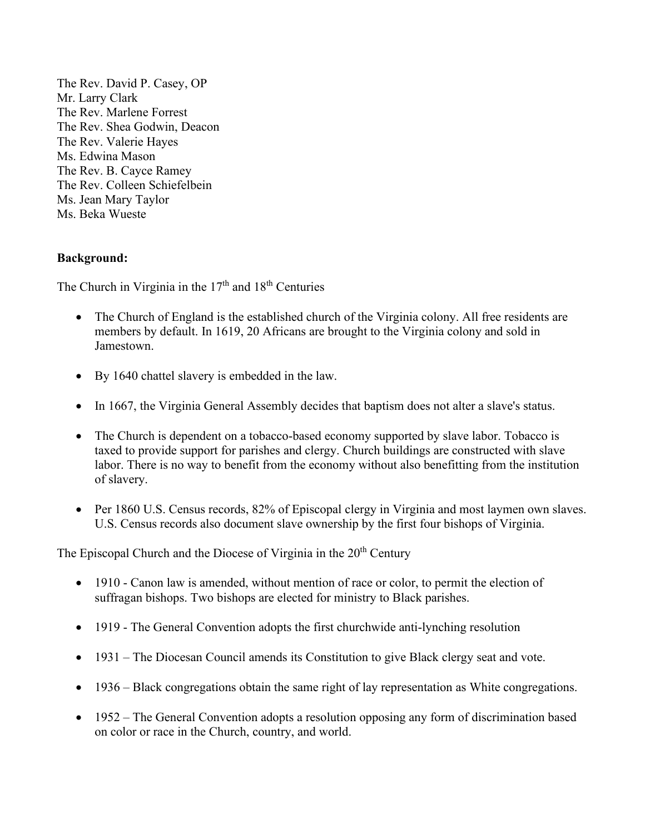The Rev. David P. Casey, OP Mr. Larry Clark The Rev. Marlene Forrest The Rev. Shea Godwin, Deacon The Rev. Valerie Hayes Ms. Edwina Mason The Rev. B. Cayce Ramey The Rev. Colleen Schiefelbein Ms. Jean Mary Taylor Ms. Beka Wueste

## **Background:**

The Church in Virginia in the  $17<sup>th</sup>$  and  $18<sup>th</sup>$  Centuries

- The Church of England is the established church of the Virginia colony. All free residents are members by default. In 1619, 20 Africans are brought to the Virginia colony and sold in Jamestown.
- By 1640 chattel slavery is embedded in the law.
- In 1667, the Virginia General Assembly decides that baptism does not alter a slave's status.
- The Church is dependent on a tobacco-based economy supported by slave labor. Tobacco is taxed to provide support for parishes and clergy. Church buildings are constructed with slave labor. There is no way to benefit from the economy without also benefitting from the institution of slavery.
- Per 1860 U.S. Census records, 82% of Episcopal clergy in Virginia and most laymen own slaves. U.S. Census records also document slave ownership by the first four bishops of Virginia.

The Episcopal Church and the Diocese of Virginia in the  $20<sup>th</sup>$  Century

- 1910 Canon law is amended, without mention of race or color, to permit the election of suffragan bishops. Two bishops are elected for ministry to Black parishes.
- 1919 The General Convention adopts the first churchwide anti-lynching resolution
- 1931 The Diocesan Council amends its Constitution to give Black clergy seat and vote.
- 1936 Black congregations obtain the same right of lay representation as White congregations.
- 1952 The General Convention adopts a resolution opposing any form of discrimination based on color or race in the Church, country, and world.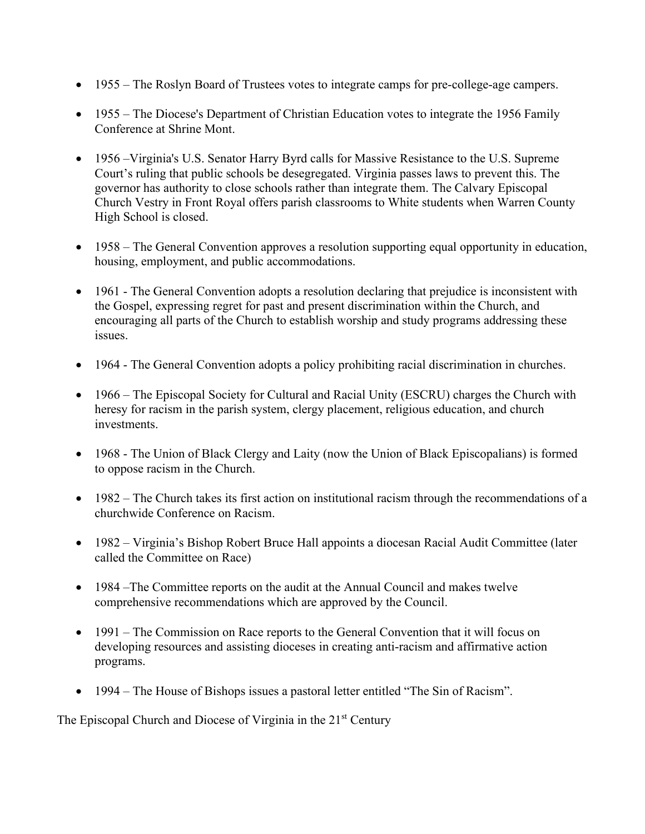- 1955 The Roslyn Board of Trustees votes to integrate camps for pre-college-age campers.
- 1955 The Diocese's Department of Christian Education votes to integrate the 1956 Family Conference at Shrine Mont.
- 1956 Virginia's U.S. Senator Harry Byrd calls for Massive Resistance to the U.S. Supreme Court's ruling that public schools be desegregated. Virginia passes laws to prevent this. The governor has authority to close schools rather than integrate them. The Calvary Episcopal Church Vestry in Front Royal offers parish classrooms to White students when Warren County High School is closed.
- 1958 The General Convention approves a resolution supporting equal opportunity in education, housing, employment, and public accommodations.
- 1961 The General Convention adopts a resolution declaring that prejudice is inconsistent with the Gospel, expressing regret for past and present discrimination within the Church, and encouraging all parts of the Church to establish worship and study programs addressing these issues.
- 1964 The General Convention adopts a policy prohibiting racial discrimination in churches.
- 1966 The Episcopal Society for Cultural and Racial Unity (ESCRU) charges the Church with heresy for racism in the parish system, clergy placement, religious education, and church investments.
- 1968 The Union of Black Clergy and Laity (now the Union of Black Episcopalians) is formed to oppose racism in the Church.
- 1982 The Church takes its first action on institutional racism through the recommendations of a churchwide Conference on Racism.
- 1982 Virginia's Bishop Robert Bruce Hall appoints a diocesan Racial Audit Committee (later called the Committee on Race)
- 1984 –The Committee reports on the audit at the Annual Council and makes twelve comprehensive recommendations which are approved by the Council.
- 1991 The Commission on Race reports to the General Convention that it will focus on developing resources and assisting dioceses in creating anti-racism and affirmative action programs.
- 1994 The House of Bishops issues a pastoral letter entitled "The Sin of Racism".

The Episcopal Church and Diocese of Virginia in the 21<sup>st</sup> Century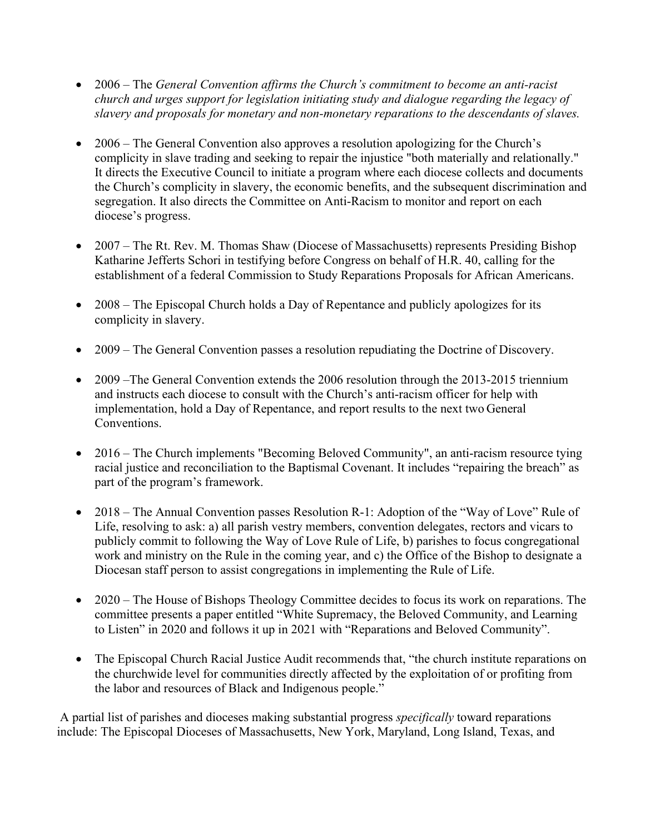- 2006 The *General Convention affirms the Church's commitment to become an anti-racist church and urges support for legislation initiating study and dialogue regarding the legacy of slavery and proposals for monetary and non-monetary reparations to the descendants of slaves.*
- 2006 The General Convention also approves a resolution apologizing for the Church's complicity in slave trading and seeking to repair the injustice "both materially and relationally." It directs the Executive Council to initiate a program where each diocese collects and documents the Church's complicity in slavery, the economic benefits, and the subsequent discrimination and segregation. It also directs the Committee on Anti-Racism to monitor and report on each diocese's progress.
- 2007 The Rt. Rev. M. Thomas Shaw (Diocese of Massachusetts) represents Presiding Bishop Katharine Jefferts Schori in testifying before Congress on behalf of H.R. 40, calling for the establishment of a federal Commission to Study Reparations Proposals for African Americans.
- 2008 The Episcopal Church holds a Day of Repentance and publicly apologizes for its complicity in slavery.
- 2009 The General Convention passes a resolution repudiating the Doctrine of Discovery.
- 2009 –The General Convention extends the 2006 resolution through the 2013-2015 triennium and instructs each diocese to consult with the Church's anti-racism officer for help with implementation, hold a Day of Repentance, and report results to the next two General Conventions.
- 2016 The Church implements "Becoming Beloved Community", an anti-racism resource tying racial justice and reconciliation to the Baptismal Covenant. It includes "repairing the breach" as part of the program's framework.
- 2018 The Annual Convention passes Resolution R-1: Adoption of the "Way of Love" Rule of Life, resolving to ask: a) all parish vestry members, convention delegates, rectors and vicars to publicly commit to following the Way of Love Rule of Life, b) parishes to focus congregational work and ministry on the Rule in the coming year, and c) the Office of the Bishop to designate a Diocesan staff person to assist congregations in implementing the Rule of Life.
- 2020 The House of Bishops Theology Committee decides to focus its work on reparations. The committee presents a paper entitled "White Supremacy, the Beloved Community, and Learning to Listen" in 2020 and follows it up in 2021 with "Reparations and Beloved Community".
- The Episcopal Church Racial Justice Audit recommends that, "the church institute reparations on the churchwide level for communities directly affected by the exploitation of or profiting from the labor and resources of Black and Indigenous people."

A partial list of parishes and dioceses making substantial progress *specifically* toward reparations include: The Episcopal Dioceses of Massachusetts, New York, Maryland, Long Island, Texas, and